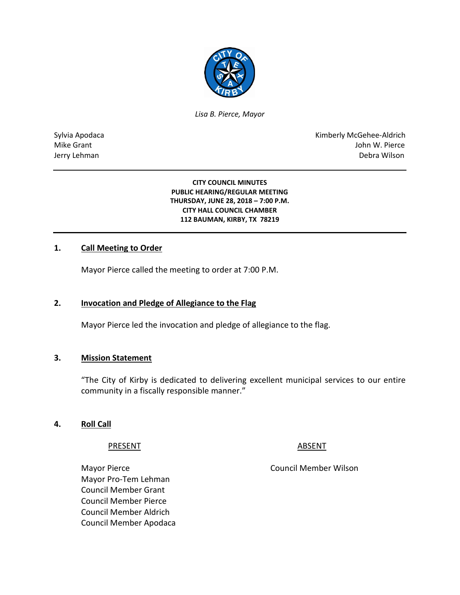

*Lisa B. Pierce, Mayor* 

Sylvia Apodaca National Apodaca Kimberly McGehee-Aldrich Mike Grant John W. Pierce Jerry Lehman Debra Wilson

> **CITY COUNCIL MINUTES PUBLIC HEARING/REGULAR MEETING THURSDAY, JUNE 28, 2018 – 7:00 P.M. CITY HALL COUNCIL CHAMBER 112 BAUMAN, KIRBY, TX 78219**

#### **1. Call Meeting to Order**

Mayor Pierce called the meeting to order at 7:00 P.M.

#### **2. Invocation and Pledge of Allegiance to the Flag**

Mayor Pierce led the invocation and pledge of allegiance to the flag.

#### **3. Mission Statement**

"The City of Kirby is dedicated to delivering excellent municipal services to our entire community in a fiscally responsible manner."

#### **4. Roll Call**

PRESENT ABSENT

Mayor Pro-Tem Lehman Council Member Grant Council Member Pierce Council Member Aldrich Council Member Apodaca

Mayor Pierce **Council Member Wilson**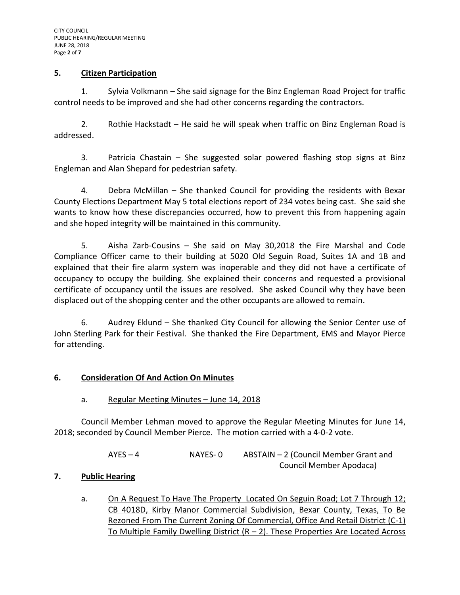#### **5. Citizen Participation**

1. Sylvia Volkmann – She said signage for the Binz Engleman Road Project for traffic control needs to be improved and she had other concerns regarding the contractors.

2. Rothie Hackstadt – He said he will speak when traffic on Binz Engleman Road is addressed.

3. Patricia Chastain – She suggested solar powered flashing stop signs at Binz Engleman and Alan Shepard for pedestrian safety.

4. Debra McMillan – She thanked Council for providing the residents with Bexar County Elections Department May 5 total elections report of 234 votes being cast. She said she wants to know how these discrepancies occurred, how to prevent this from happening again and she hoped integrity will be maintained in this community.

5. Aisha Zarb-Cousins – She said on May 30,2018 the Fire Marshal and Code Compliance Officer came to their building at 5020 Old Seguin Road, Suites 1A and 1B and explained that their fire alarm system was inoperable and they did not have a certificate of occupancy to occupy the building. She explained their concerns and requested a provisional certificate of occupancy until the issues are resolved. She asked Council why they have been displaced out of the shopping center and the other occupants are allowed to remain.

6. Audrey Eklund – She thanked City Council for allowing the Senior Center use of John Sterling Park for their Festival. She thanked the Fire Department, EMS and Mayor Pierce for attending.

# **6. Consideration Of And Action On Minutes**

a. Regular Meeting Minutes – June 14, 2018

Council Member Lehman moved to approve the Regular Meeting Minutes for June 14, 2018; seconded by Council Member Pierce. The motion carried with a 4-0-2 vote.

> AYES – 4 NAYES- 0 ABSTAIN – 2 (Council Member Grant and Council Member Apodaca)

# **7. Public Hearing**

a. On A Request To Have The Property Located On Seguin Road; Lot 7 Through 12; CB 4018D, Kirby Manor Commercial Subdivision, Bexar County, Texas, To Be Rezoned From The Current Zoning Of Commercial, Office And Retail District (C-1) To Multiple Family Dwelling District  $(R - 2)$ . These Properties Are Located Across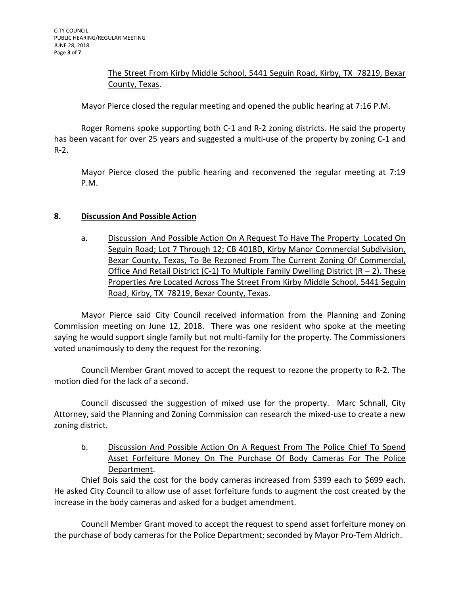# The Street From Kirby Middle School, 5441 Seguin Road, Kirby, TX 78219, Bexar County, Texas.

Mayor Pierce closed the regular meeting and opened the public hearing at 7:16 P.M.

Roger Romens spoke supporting both C-1 and R-2 zoning districts. He said the property has been vacant for over 25 years and suggested a multi-use of the property by zoning C-1 and R-2.

Mayor Pierce closed the public hearing and reconvened the regular meeting at 7:19 P.M.

# **8. Discussion And Possible Action**

a. Discussion And Possible Action On A Request To Have The Property Located On Seguin Road; Lot 7 Through 12; CB 4018D, Kirby Manor Commercial Subdivision, Bexar County, Texas, To Be Rezoned From The Current Zoning Of Commercial, Office And Retail District (C-1) To Multiple Family Dwelling District ( $R - 2$ ). These Properties Are Located Across The Street From Kirby Middle School, 5441 Seguin Road, Kirby, TX 78219, Bexar County, Texas.

Mayor Pierce said City Council received information from the Planning and Zoning Commission meeting on June 12, 2018. There was one resident who spoke at the meeting saying he would support single family but not multi-family for the property. The Commissioners voted unanimously to deny the request for the rezoning.

Council Member Grant moved to accept the request to rezone the property to R-2. The motion died for the lack of a second.

Council discussed the suggestion of mixed use for the property. Marc Schnall, City Attorney, said the Planning and Zoning Commission can research the mixed-use to create a new zoning district.

b. Discussion And Possible Action On A Request From The Police Chief To Spend Asset Forfeiture Money On The Purchase Of Body Cameras For The Police Department.

Chief Bois said the cost for the body cameras increased from \$399 each to \$699 each. He asked City Council to allow use of asset forfeiture funds to augment the cost created by the increase in the body cameras and asked for a budget amendment.

Council Member Grant moved to accept the request to spend asset forfeiture money on the purchase of body cameras for the Police Department; seconded by Mayor Pro-Tem Aldrich.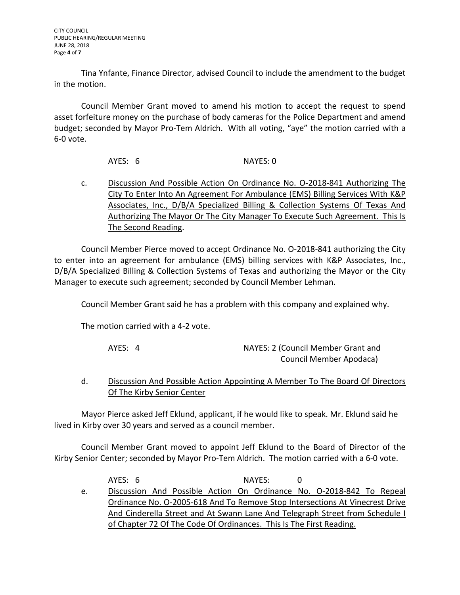Tina Ynfante, Finance Director, advised Council to include the amendment to the budget in the motion.

Council Member Grant moved to amend his motion to accept the request to spend asset forfeiture money on the purchase of body cameras for the Police Department and amend budget; seconded by Mayor Pro-Tem Aldrich. With all voting, "aye" the motion carried with a 6-0 vote.

AYES: 6 NAYES: 0

c. Discussion And Possible Action On Ordinance No. O-2018-841 Authorizing The City To Enter Into An Agreement For Ambulance (EMS) Billing Services With K&P Associates, Inc., D/B/A Specialized Billing & Collection Systems Of Texas And Authorizing The Mayor Or The City Manager To Execute Such Agreement. This Is The Second Reading.

Council Member Pierce moved to accept Ordinance No. O-2018-841 authorizing the City to enter into an agreement for ambulance (EMS) billing services with K&P Associates, Inc., D/B/A Specialized Billing & Collection Systems of Texas and authorizing the Mayor or the City Manager to execute such agreement; seconded by Council Member Lehman.

Council Member Grant said he has a problem with this company and explained why.

The motion carried with a 4-2 vote.

| AYES: 4 | NAYES: 2 (Council Member Grant and |
|---------|------------------------------------|
|         | Council Member Apodaca)            |

#### d. Discussion And Possible Action Appointing A Member To The Board Of Directors Of The Kirby Senior Center

Mayor Pierce asked Jeff Eklund, applicant, if he would like to speak. Mr. Eklund said he lived in Kirby over 30 years and served as a council member.

Council Member Grant moved to appoint Jeff Eklund to the Board of Director of the Kirby Senior Center; seconded by Mayor Pro-Tem Aldrich. The motion carried with a 6-0 vote.

AYES: 6 NAYES: 0 e. Discussion And Possible Action On Ordinance No. O-2018-842 To Repeal Ordinance No. O-2005-618 And To Remove Stop Intersections At Vinecrest Drive And Cinderella Street and At Swann Lane And Telegraph Street from Schedule I of Chapter 72 Of The Code Of Ordinances. This Is The First Reading.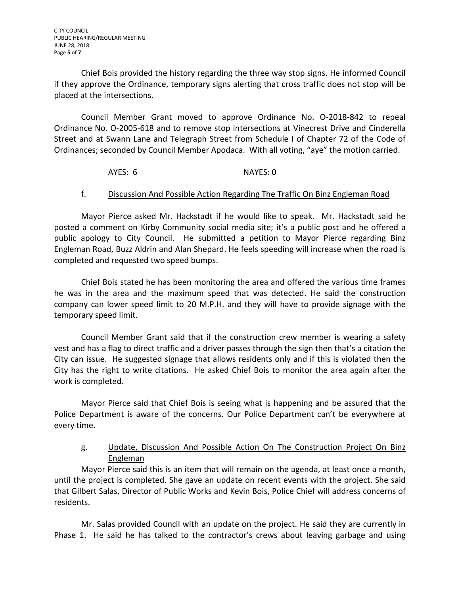Chief Bois provided the history regarding the three way stop signs. He informed Council if they approve the Ordinance, temporary signs alerting that cross traffic does not stop will be placed at the intersections.

Council Member Grant moved to approve Ordinance No. O-2018-842 to repeal Ordinance No. O-2005-618 and to remove stop intersections at Vinecrest Drive and Cinderella Street and at Swann Lane and Telegraph Street from Schedule I of Chapter 72 of the Code of Ordinances; seconded by Council Member Apodaca. With all voting, "aye" the motion carried.

# AYES: 6 NAYES: 0

#### f. Discussion And Possible Action Regarding The Traffic On Binz Engleman Road

Mayor Pierce asked Mr. Hackstadt if he would like to speak. Mr. Hackstadt said he posted a comment on Kirby Community social media site; it's a public post and he offered a public apology to City Council. He submitted a petition to Mayor Pierce regarding Binz Engleman Road, Buzz Aldrin and Alan Shepard. He feels speeding will increase when the road is completed and requested two speed bumps.

Chief Bois stated he has been monitoring the area and offered the various time frames he was in the area and the maximum speed that was detected. He said the construction company can lower speed limit to 20 M.P.H. and they will have to provide signage with the temporary speed limit.

Council Member Grant said that if the construction crew member is wearing a safety vest and has a flag to direct traffic and a driver passes through the sign then that's a citation the City can issue. He suggested signage that allows residents only and if this is violated then the City has the right to write citations. He asked Chief Bois to monitor the area again after the work is completed.

Mayor Pierce said that Chief Bois is seeing what is happening and be assured that the Police Department is aware of the concerns. Our Police Department can't be everywhere at every time.

# g. Update, Discussion And Possible Action On The Construction Project On Binz Engleman

Mayor Pierce said this is an item that will remain on the agenda, at least once a month, until the project is completed. She gave an update on recent events with the project. She said that Gilbert Salas, Director of Public Works and Kevin Bois, Police Chief will address concerns of residents.

Mr. Salas provided Council with an update on the project. He said they are currently in Phase 1. He said he has talked to the contractor's crews about leaving garbage and using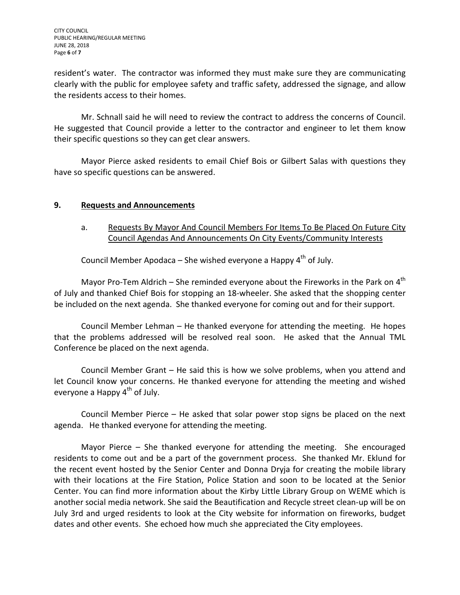resident's water. The contractor was informed they must make sure they are communicating clearly with the public for employee safety and traffic safety, addressed the signage, and allow the residents access to their homes.

Mr. Schnall said he will need to review the contract to address the concerns of Council. He suggested that Council provide a letter to the contractor and engineer to let them know their specific questions so they can get clear answers.

Mayor Pierce asked residents to email Chief Bois or Gilbert Salas with questions they have so specific questions can be answered.

#### **9. Requests and Announcements**

# a. Requests By Mayor And Council Members For Items To Be Placed On Future City Council Agendas And Announcements On City Events/Community Interests

Council Member Apodaca – She wished everyone a Happy  $4^{th}$  of July.

Mayor Pro-Tem Aldrich – She reminded everyone about the Fireworks in the Park on  $4<sup>th</sup>$ of July and thanked Chief Bois for stopping an 18-wheeler. She asked that the shopping center be included on the next agenda. She thanked everyone for coming out and for their support.

Council Member Lehman – He thanked everyone for attending the meeting. He hopes that the problems addressed will be resolved real soon. He asked that the Annual TML Conference be placed on the next agenda.

Council Member Grant – He said this is how we solve problems, when you attend and let Council know your concerns. He thanked everyone for attending the meeting and wished everyone a Happy  $4<sup>th</sup>$  of July.

Council Member Pierce – He asked that solar power stop signs be placed on the next agenda. He thanked everyone for attending the meeting.

Mayor Pierce – She thanked everyone for attending the meeting. She encouraged residents to come out and be a part of the government process. She thanked Mr. Eklund for the recent event hosted by the Senior Center and Donna Dryja for creating the mobile library with their locations at the Fire Station, Police Station and soon to be located at the Senior Center. You can find more information about the Kirby Little Library Group on WEME which is another social media network. She said the Beautification and Recycle street clean-up will be on July 3rd and urged residents to look at the City website for information on fireworks, budget dates and other events. She echoed how much she appreciated the City employees.